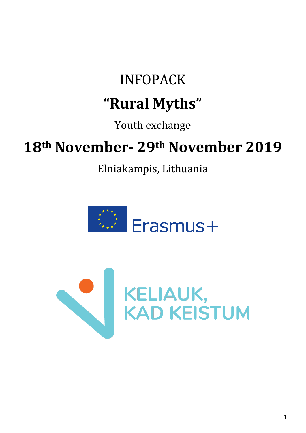# INFOPACK **"Rural Myths"**

## Youth exchange

# **18th November- 29th November 2019**

Elniakampis, Lithuania



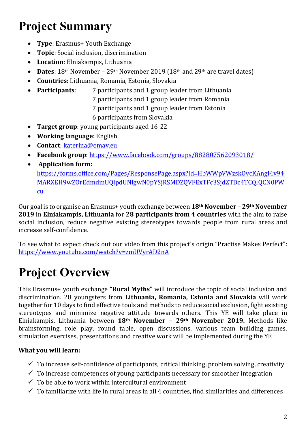# **Project Summary**

- **Type**: Erasmus+ Youth Exchange
- **Topic**: Social inclusion, discrimination
- **Location**: Elniakampis, Lithuania
- **Dates**: 18<sup>th</sup> November 29<sup>th</sup> November 2019 (18<sup>th</sup> and 29<sup>th</sup> are travel dates)
- **Countries**: Lithuania, Romania, Estonia, Slovakia
- **Participants**: 7 participants and 1 group leader from Lithuania
	- 7 participants and 1 group leader from Romania
	- 7 participants and 1 group leader from Estonia
	- 6 participants from Slovakia
- **Target group**: young participants aged 16-22
- **Working language**: English
- **Contact**: katerina@omav.eu
- **Facebook group**: <https://www.facebook.com/groups/882807562093018/>
- **Application form:**

[https://forms.office.com/Pages/ResponsePage.aspx?id=HbWWpVWzskOvcKAngI4v94](https://forms.office.com/Pages/ResponsePage.aspx?id=HbWWpVWzskOvcKAngI4v94MARXEH9wZOrEdmdmUQlpdUNlgwN0pYSjRSMDZQVFExTFc3SjdZTDc4TCQlQCN0PWcu) [MARXEH9wZOrEdmdmUQlpdUNlgwN0pYSjRSMDZQVFExTFc3SjdZTDc4TCQlQCN0PW](https://forms.office.com/Pages/ResponsePage.aspx?id=HbWWpVWzskOvcKAngI4v94MARXEH9wZOrEdmdmUQlpdUNlgwN0pYSjRSMDZQVFExTFc3SjdZTDc4TCQlQCN0PWcu) [cu](https://forms.office.com/Pages/ResponsePage.aspx?id=HbWWpVWzskOvcKAngI4v94MARXEH9wZOrEdmdmUQlpdUNlgwN0pYSjRSMDZQVFExTFc3SjdZTDc4TCQlQCN0PWcu)

Our goal is to organise an Erasmus+ youth exchange between **18th November – 29th November 2019** in **Elniakampis, Lithuania** for **28 participants from 4 countries** with the aim to raise social inclusion, reduce negative existing stereotypes towards people from rural areas and increase self-confidence.

To see what to expect check out our video from this project's origin "Practise Makes Perfect": <https://www.youtube.com/watch?v=zmUVyrAD2nA>

# **Project Overview**

This Erasmus+ youth exchange **"Rural Myths"** will introduce the topic of social inclusion and discrimination. 28 youngsters from **Lithuania, Romania, Estonia and Slovakia** will work together for 10 days to find effective tools and methods to reduce social exclusion, fight existing stereotypes and minimize negative attitude towards others. This YE will take place in Elniakampis, Lithuania between **18th November – 29th November 2019.** Methods like brainstorming, role play, round table, open discussions, various team building games, simulation exercises, presentations and creative work will be implemented during the YE

#### **What you will learn:**

- $\checkmark$  To increase self-confidence of participants, critical thinking, problem solving, creativity
- $\checkmark$  To increase competences of young participants necessary for smoother integration
- $\checkmark$  To be able to work within intercultural environment
- $\checkmark$  To familiarize with life in rural areas in all 4 countries, find similarities and differences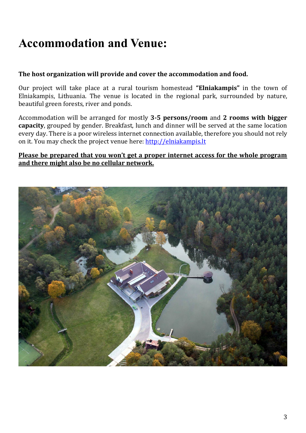### **Accommodation and Venue:**

#### **The host organization will provide and cover the accommodation and food.**

Our project will take place at a rural tourism homestead **"Elniakampis"** in the town of Elniakampis, Lithuania. The venue is located in the regional park, surrounded by nature, beautiful green forests, river and ponds.

Accommodation will be arranged for mostly **3-5 persons/room** and **2 rooms with bigger capacity**, grouped by gender. Breakfast, lunch and dinner will be served at the same location every day. There is a poor wireless internet connection available, therefore you should not rely on it. You may check the project venue here: [http://elniakampis.lt](http://elniakampis.lt/)

#### **Please be prepared that you won't get a proper internet access for the whole program and there might also be no cellular network.**

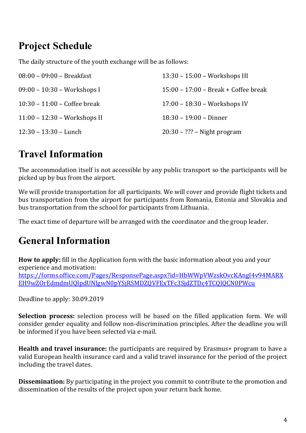### **Project Schedule**

The daily structure of the youth exchange will be as follows:

| $08:00 - 09:00 - Breakfast$           | $13:30 - 15:00 - Workshop$ III         |
|---------------------------------------|----------------------------------------|
| $09:00 - 10:30 - Workshop$            | $15:00 - 17:00 - Break + Coffee break$ |
| $10:30 - 11:00 - \text{Coffee break}$ | $17:00 - 18:30 - \text{Workshops IV}$  |
| 11:00 - 12:30 - Workshops II          | $18:30 - 19:00 - 20$                   |
| $12:30 - 13:30 -$ Lunch               | $20:30 - ?$ ?? – Night program         |

### **Travel Information**

The accommodation itself is not accessible by any public transport so the participants will be picked up by bus from the airport.

We will provide transportation for all participants. We will cover and provide flight tickets and bus transportation from the airport for participants from Romania, Estonia and Slovakia and bus transportation from the school for participants from Lithuania.

The exact time of departure will be arranged with the coordinator and the group leader.

### **General Information**

**How to apply:** fill in the Application form with the basic information about you and your experience and motivation: [https://forms.office.com/Pages/ResponsePage.aspx?id=HbWWpVWzskOvcKAngI4v94MARX](https://forms.office.com/Pages/ResponsePage.aspx?id=HbWWpVWzskOvcKAngI4v94MARXEH9wZOrEdmdmUQlpdUNlgwN0pYSjRSMDZQVFExTFc3SjdZTDc4TCQlQCN0PWcu) [EH9wZOrEdmdmUQlpdUNlgwN0pYSjRSMDZQVFExTFc3SjdZTDc4TCQlQCN0PWcu](https://forms.office.com/Pages/ResponsePage.aspx?id=HbWWpVWzskOvcKAngI4v94MARXEH9wZOrEdmdmUQlpdUNlgwN0pYSjRSMDZQVFExTFc3SjdZTDc4TCQlQCN0PWcu)

Deadline to apply: 30.09.2019

**Selection process:** selection process will be based on the filled application form. We will consider gender equality and follow non-discrimination principles. After the deadline you will be informed if you have been selected via e-mail.

**Health and travel insurance:** the participants are required by Erasmus+ program to have a valid European health insurance card and a valid travel insurance for the period of the project including the travel dates.

**Dissemination:** By participating in the project you commit to contribute to the promotion and dissemination of the results of the project upon your return back home.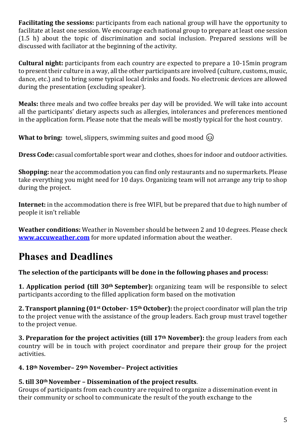**Facilitating the sessions:** participants from each national group will have the opportunity to facilitate at least one session. We encourage each national group to prepare at least one session (1.5 h) about the topic of discrimination and social inclusion. Prepared sessions will be discussed with faciliator at the beginning of the activity.

**Cultural night:** participants from each country are expected to prepare a 10-15min program to present their culture in a way, all the other participants are involved (culture, customs, music, dance, etc.) and to bring some typical local drinks and foods. No electronic devices are allowed during the presentation (excluding speaker).

**Meals:** three meals and two coffee breaks per day will be provided. We will take into account all the participants' dietary aspects such as allergies, intolerances and preferences mentioned in the application form. Please note that the meals will be mostly typical for the host country.

**What to bring:** towel, slippers, swimming suites and good mood  $\odot$ 

**Dress Code:** casual comfortable sport wear and clothes, shoes for indoor and outdoor activities.

**Shopping:** near the accommodation you can find only restaurants and no supermarkets. Please take everything you might need for 10 days. Organizing team will not arrange any trip to shop during the project.

**Internet:** in the accommodation there is free WIFI, but be prepared that due to high number of people it isn't reliable

**Weather conditions:** Weather in November should be between 2 and 10 degrees. Please check **[www.accuweather.com](http://www.accuweather.com/)** for more updated information about the weather.

### **Phases and Deadlines**

#### **The selection of the participants will be done in the following phases and process:**

**1. Application period (till 30th September):** organizing team will be responsible to select participants according to the filled application form based on the motivation

**2. Transport planning (01st October- 15th October):** the project coordinator will plan the trip to the project venue with the assistance of the group leaders. Each group must travel together to the project venue.

**3. Preparation for the project activities (till 17th November):** the group leaders from each country will be in touch with project coordinator and prepare their group for the project activities.

#### **4. 18th November– 29th November– Project activities**

#### **5. till 30thNovember – Dissemination of the project results**.

Groups of participants from each country are required to organize a dissemination event in their community or school to communicate the result of the youth exchange to the